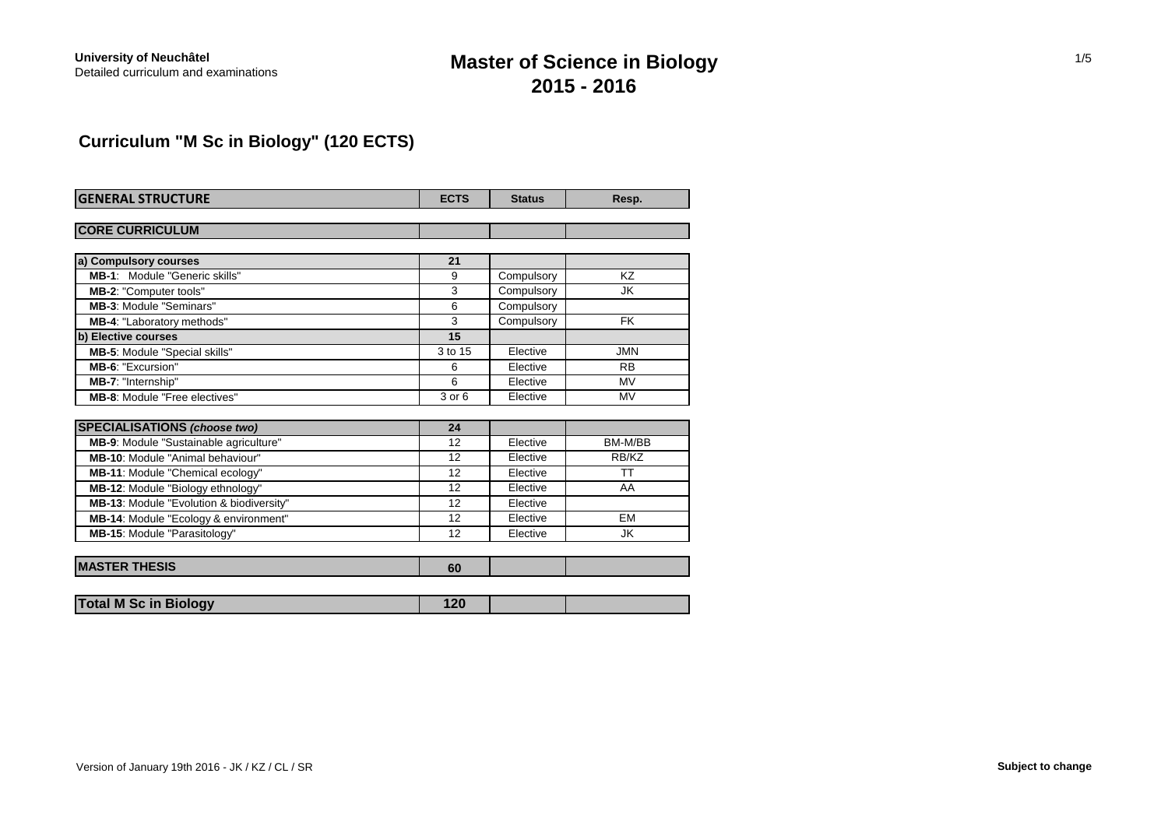# **Master of Science in Biology 2015 - 2016**

# **Curriculum "M Sc in Biology" (120 ECTS)**

| <b>GENERAL STRUCTURE</b>                 | <b>ECTS</b> | <b>Status</b> | Resp.      |
|------------------------------------------|-------------|---------------|------------|
| <b>CORE CURRICULUM</b>                   |             |               |            |
|                                          |             |               |            |
| a) Compulsory courses                    | 21          |               |            |
| MB-1: Module "Generic skills"            | 9           | Compulsory    | KZ         |
| MB-2: "Computer tools"                   | 3           | Compulsory    | <b>JK</b>  |
| <b>MB-3: Module "Seminars"</b>           | 6           | Compulsory    |            |
| MB-4: "Laboratory methods"               | 3           | Compulsory    | <b>FK</b>  |
| b) Elective courses                      | 15          |               |            |
| <b>MB-5: Module "Special skills"</b>     | 3 to 15     | Elective      | <b>JMN</b> |
| MB-6: "Excursion"                        | 6           | Elective      | <b>RB</b>  |
| MB-7: "Internship"                       | 6           | Elective      | <b>MV</b>  |
| <b>MB-8: Module "Free electives"</b>     | 3 or 6      | Elective      | <b>MV</b>  |
|                                          |             |               |            |
| <b>SPECIALISATIONS (choose two)</b>      | 24          |               |            |
| MB-9: Module "Sustainable agriculture"   | 12          | Elective      | BM-M/BB    |
| <b>MB-10:</b> Module "Animal behaviour"  | 12          | Elective      | RB/KZ      |
| MB-11: Module "Chemical ecology"         | 12          | Elective      | <b>TT</b>  |
| <b>MB-12: Module "Biology ethnology"</b> | 12          | Elective      | AA         |
| MB-13: Module "Evolution & biodiversity" | 12          | Elective      |            |
| MB-14: Module "Ecology & environment"    | 12          | Elective      | EM         |
| MB-15: Module "Parasitology"             | 12          | Elective      | JK         |
| <b>MASTER THESIS</b>                     | 60          |               |            |
| <b>Total M Sc in Biology</b>             | 120         |               |            |

| Version of January 19th 2016 - JK / KZ / CL / SR | Subject to change |
|--------------------------------------------------|-------------------|
|--------------------------------------------------|-------------------|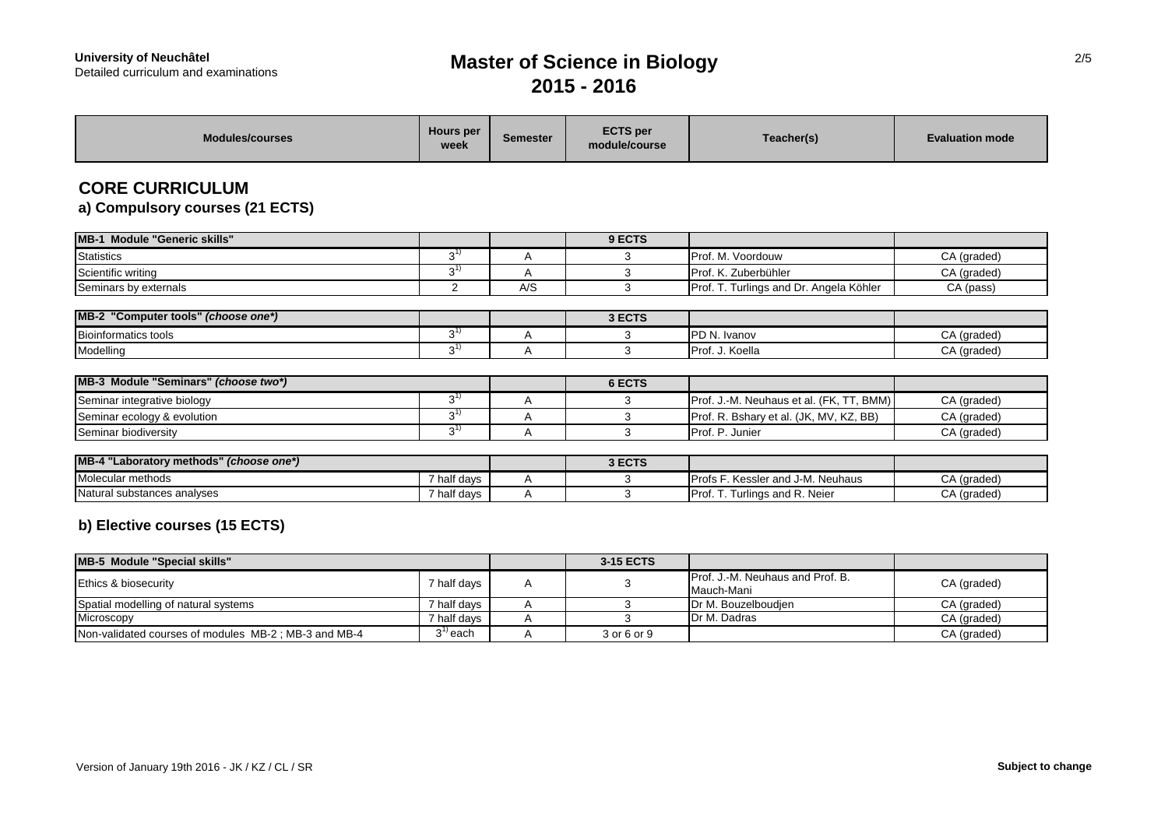# **Master of Science in Biology 2015 - 2016**

| <b>Modules/courses</b>                                    | <b>Hours</b> per<br>week | <b>Semester</b> | <b>ECTS</b> per<br>module/course | Teacher(s)                                                 | <b>Evaluation mode</b>     |
|-----------------------------------------------------------|--------------------------|-----------------|----------------------------------|------------------------------------------------------------|----------------------------|
| <b>CORE CURRICULUM</b><br>a) Compulsory courses (21 ECTS) |                          |                 |                                  |                                                            |                            |
| MB-1 Module "Generic skills"                              |                          |                 | 9 ECTS                           |                                                            |                            |
| <b>Statistics</b>                                         | $3^{1}$                  | Α               | 3                                | Prof. M. Voordouw                                          | CA (graded)                |
| Scientific writing                                        | $3^{1}$                  | A               | 3                                | Prof. K. Zuberbühler                                       | CA (graded)                |
| Seminars by externals                                     | 2                        | A/S             | 3                                | Prof. T. Turlings and Dr. Angela Köhler                    | CA (pass)                  |
|                                                           |                          |                 |                                  |                                                            |                            |
| MB-2 "Computer tools" (choose one*)                       |                          |                 | 3 ECTS                           |                                                            |                            |
| <b>Bioinformatics tools</b>                               | $3^{1}$                  | Α               | 3                                | PD N. Ivanov                                               | CA (graded)                |
| Modelling                                                 | $3^{1}$                  | A               | 3                                | Prof. J. Koella                                            | CA (graded)                |
| MB-3 Module "Seminars" (choose two*)                      |                          |                 | 6 ECTS                           |                                                            |                            |
|                                                           | $3^{1}$                  |                 | 3                                |                                                            |                            |
| Seminar integrative biology                               | $3^{1}$                  | Α<br>A          | 3                                | Prof. J.-M. Neuhaus et al. (FK, TT, BMM)                   | CA (graded)<br>CA (graded) |
| Seminar ecology & evolution<br>Seminar biodiversity       | $3^{1}$                  | A               | 3                                | Prof. R. Bshary et al. (JK, MV, KZ, BB)<br>Prof. P. Junier | CA (graded)                |
|                                                           |                          |                 |                                  |                                                            |                            |
| MB-4 "Laboratory methods" (choose one*)                   |                          |                 | 3 ECTS                           |                                                            |                            |
| Molecular methods                                         | 7 half days              | Α               | 3                                | Profs F. Kessler and J-M. Neuhaus                          | CA (graded)                |
| Natural substances analyses                               | 7 half days              | A               | 3                                | Prof. T. Turlings and R. Neier                             | CA (graded)                |
| b) Elective courses (15 ECTS)                             |                          |                 |                                  |                                                            |                            |
| <b>MB-5 Module "Special skills"</b>                       |                          |                 | 3-15 ECTS                        |                                                            |                            |
| Ethics & biosecurity                                      | 7 half days              | A               | 3                                | Prof. J.-M. Neuhaus and Prof. B.<br>Mauch Mapi             | CA (graded)                |

Mauch-Mani Spatial modelling of natural systems **7 half days** A 3 Dr M. Bouzelboudjen CA (graded)<br>Microscopy CA (graded) 7 half days A 3 Dr M. Dadras CA (graded) Microscopy 7 half days A 3 Dr M. Dadras CA (graded) Non-validated courses of modules  $MB-2$ ; MB-3 and MB-4  $3<sup>1</sup>$  each A 3 or 6 or 9 CA (graded) 2/5

ī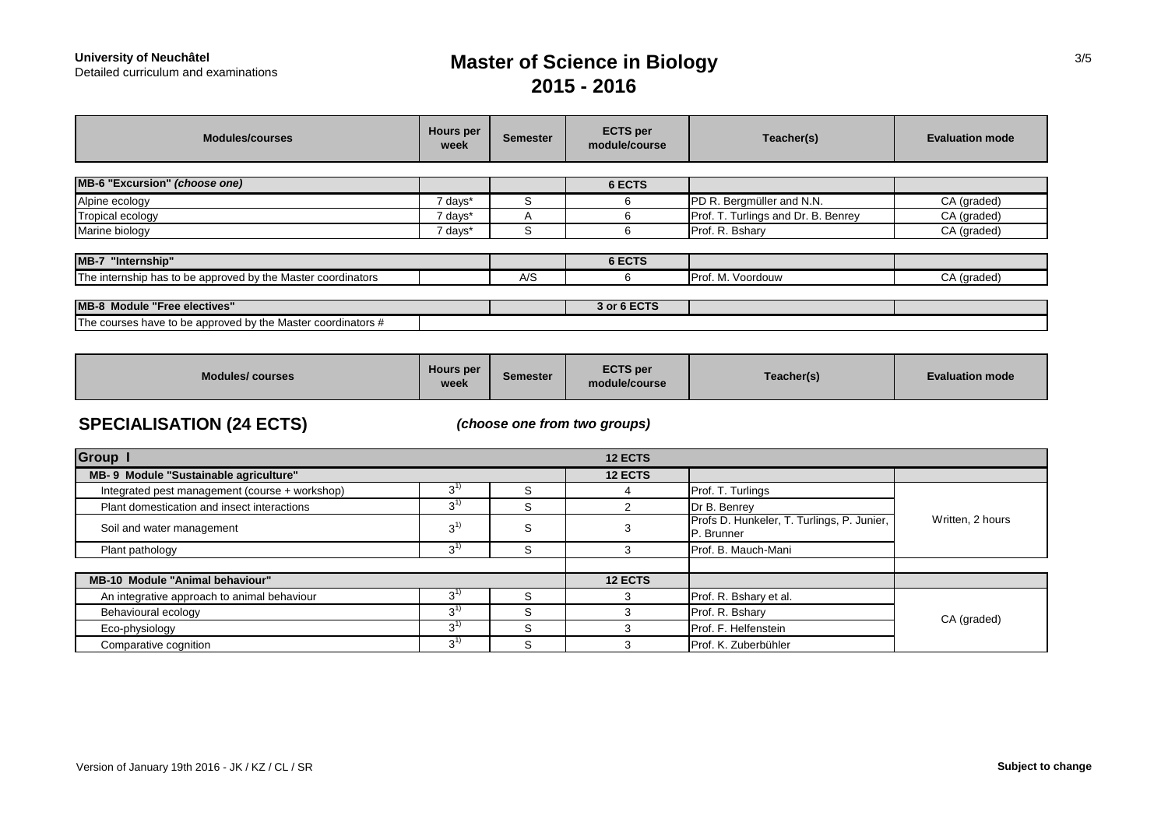# **University of Neuchâtel<br>Detailed curriculum and examinations**

# **Master of Science in Biology 2015 - 2016**

| <b>Modules/courses</b>                                       | Hours per<br>week | Semester       | <b>ECTS</b> per<br>module/course | Teacher(s)                          | <b>Evaluation mode</b> |
|--------------------------------------------------------------|-------------------|----------------|----------------------------------|-------------------------------------|------------------------|
| MB-6 "Excursion" (choose one)                                |                   |                | 6 ECTS                           |                                     |                        |
| Alpine ecology                                               | 7 days*           | S              | 6                                | PD R. Bergmüller and N.N.           | CA (graded)            |
| Tropical ecology                                             | 7 days*           | $\overline{A}$ | 6                                | Prof. T. Turlings and Dr. B. Benrey | CA (graded)            |
| Marine biology                                               | 7 days*           | ົ<br>5         | 6                                | Prof. R. Bshary                     | CA (graded)            |
| MB-7 "Internship"                                            |                   |                | 6 ECTS                           |                                     |                        |
| The internship has to be approved by the Master coordinators |                   | A/S            | 6                                | Prof. M. Voordouw                   | CA (graded)            |
|                                                              |                   |                |                                  |                                     |                        |
| <b>MB-8 Module "Free electives"</b>                          |                   |                | 3 or 6 ECTS                      |                                     |                        |
| The courses have to be approved by the Master coordinators # |                   |                |                                  |                                     |                        |

| <b>Modules/courses</b> | Hours per<br><b>week</b> | Semester | <b>ECTS per</b><br>module/course | Teacher(s) | Evaluation mode l |
|------------------------|--------------------------|----------|----------------------------------|------------|-------------------|
|------------------------|--------------------------|----------|----------------------------------|------------|-------------------|

## **SPECIALISATION (24 ECTS)**

*(choose one from two groups)*

| <b>Group</b>                                   |              |         | <b>12 ECTS</b> |                                                          |                  |  |
|------------------------------------------------|--------------|---------|----------------|----------------------------------------------------------|------------------|--|
| MB- 9 Module "Sustainable agriculture"         |              |         | <b>12 ECTS</b> |                                                          |                  |  |
| Integrated pest management (course + workshop) | 3            |         |                | Prof. T. Turlings                                        |                  |  |
| Plant domestication and insect interactions    | $3^{1}$      | ົ<br>5  |                | Dr B. Benrey                                             | Written, 2 hours |  |
| Soil and water management                      | $3^{1}$      | S       |                | Profs D. Hunkeler, T. Turlings, P. Junier,<br>P. Brunner |                  |  |
| Plant pathology                                | 3'           |         |                | Prof. B. Mauch-Mani                                      |                  |  |
| <b>MB-10 Module "Animal behaviour"</b>         |              |         | <b>12 ECTS</b> |                                                          |                  |  |
| An integrative approach to animal behaviour    | 3'           |         |                | Prof. R. Bshary et al.                                   |                  |  |
| Behavioural ecology                            | 3''          | ╮       |                | Prof. R. Bshary                                          | CA (graded)      |  |
| Eco-physiology                                 | $3^{1}$      | ⌒       |                | Prof. F. Helfenstein                                     |                  |  |
| Comparative cognition                          | $3^{\prime}$ | ົ<br>r. |                | Prof. K. Zuberbühler                                     |                  |  |

3/5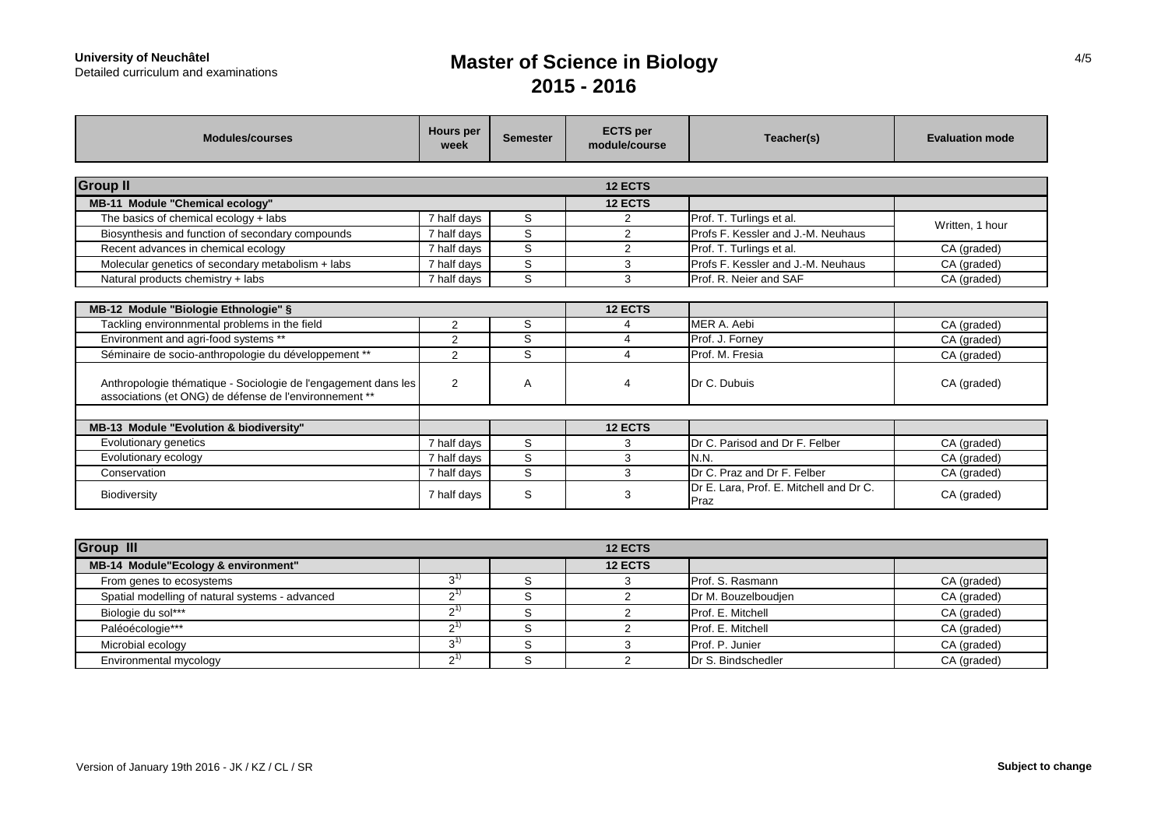# **University of Neuchâtel<br>Detailed curriculum and examinations**

# **Master of Science in Biology 2015 - 2016**

| <b>Modules/courses</b>                                                                                                   | Hours per<br>week        | <b>Semester</b> | <b>ECTS</b> per<br>module/course | Teacher(s)                                      | <b>Evaluation mode</b> |
|--------------------------------------------------------------------------------------------------------------------------|--------------------------|-----------------|----------------------------------|-------------------------------------------------|------------------------|
| <b>Group II</b>                                                                                                          |                          |                 | <b>12 ECTS</b>                   |                                                 |                        |
| MB-11 Module "Chemical ecology"                                                                                          |                          |                 | 12 ECTS                          |                                                 |                        |
| The basics of chemical ecology + labs                                                                                    | 7 half days              | S               | $\overline{2}$                   | Prof. T. Turlings et al.                        |                        |
| Biosynthesis and function of secondary compounds                                                                         | 7 half days              | S               | 2                                | Profs F. Kessler and J.-M. Neuhaus              | Written, 1 hour        |
| Recent advances in chemical ecology                                                                                      | 7 half days              | S               | 2                                | Prof. T. Turlings et al.                        | CA (graded)            |
| Molecular genetics of secondary metabolism + labs                                                                        | 7 half days              | S               | 3                                | Profs F. Kessler and J.-M. Neuhaus              | CA (graded)            |
| Natural products chemistry + labs                                                                                        | 7 half days              | S               | 3                                | Prof. R. Neier and SAF                          | CA (graded)            |
| MB-12 Module "Biologie Ethnologie" §                                                                                     |                          |                 | 12 ECTS                          |                                                 |                        |
| Tackling environnmental problems in the field                                                                            | $\overline{2}$           | S               | 4                                | MER A. Aebi                                     | CA (graded)            |
| Environment and agri-food systems **                                                                                     | 2                        | S               | 4                                | Prof. J. Forney                                 | CA (graded)            |
| Séminaire de socio-anthropologie du développement **                                                                     | 2                        | S               | 4                                | Prof. M. Fresia                                 | CA (graded)            |
| Anthropologie thématique - Sociologie de l'engagement dans les<br>associations (et ONG) de défense de l'environnement ** | $\overline{2}$           | A               | 4                                | Dr C. Dubuis                                    | CA (graded)            |
|                                                                                                                          |                          |                 |                                  |                                                 |                        |
| MB-13 Module "Evolution & biodiversity"                                                                                  |                          |                 | 12 ECTS                          |                                                 |                        |
| Evolutionary genetics                                                                                                    | $\overline{7}$ half days | S               | 3                                | Dr C. Parisod and Dr F. Felber                  | CA (graded)            |
| Evolutionary ecology                                                                                                     | 7 half days              | S               | 3                                | IN.N.                                           | CA (graded)            |
| Conservation                                                                                                             | 7 half days              | S               | 3                                | Dr C. Praz and Dr F. Felber                     | CA (graded)            |
| <b>Biodiversity</b>                                                                                                      | 7 half days              | S               | 3                                | Dr E. Lara, Prof. E. Mitchell and Dr C.<br>Praz | CA (graded)            |

| <b>Group III</b>                                | <b>12 ECTS</b> |  |                |                     |             |  |
|-------------------------------------------------|----------------|--|----------------|---------------------|-------------|--|
| MB-14 Module"Ecology & environment"             |                |  | <b>12 ECTS</b> |                     |             |  |
| From genes to ecosystems                        |                |  |                | Prof. S. Rasmann    | CA (graded) |  |
| Spatial modelling of natural systems - advanced |                |  |                | Dr M. Bouzelboudjen | CA (graded) |  |
| Biologie du sol***                              |                |  |                | Prof. E. Mitchell   | CA (graded) |  |
| Paléoécologie***                                |                |  |                | Prof. E. Mitchell   | CA (graded) |  |
| Microbial ecology                               |                |  |                | Prof. P. Junier     | CA (graded) |  |
| Environmental mycology                          |                |  |                | Dr S. Bindschedler  | CA (graded) |  |